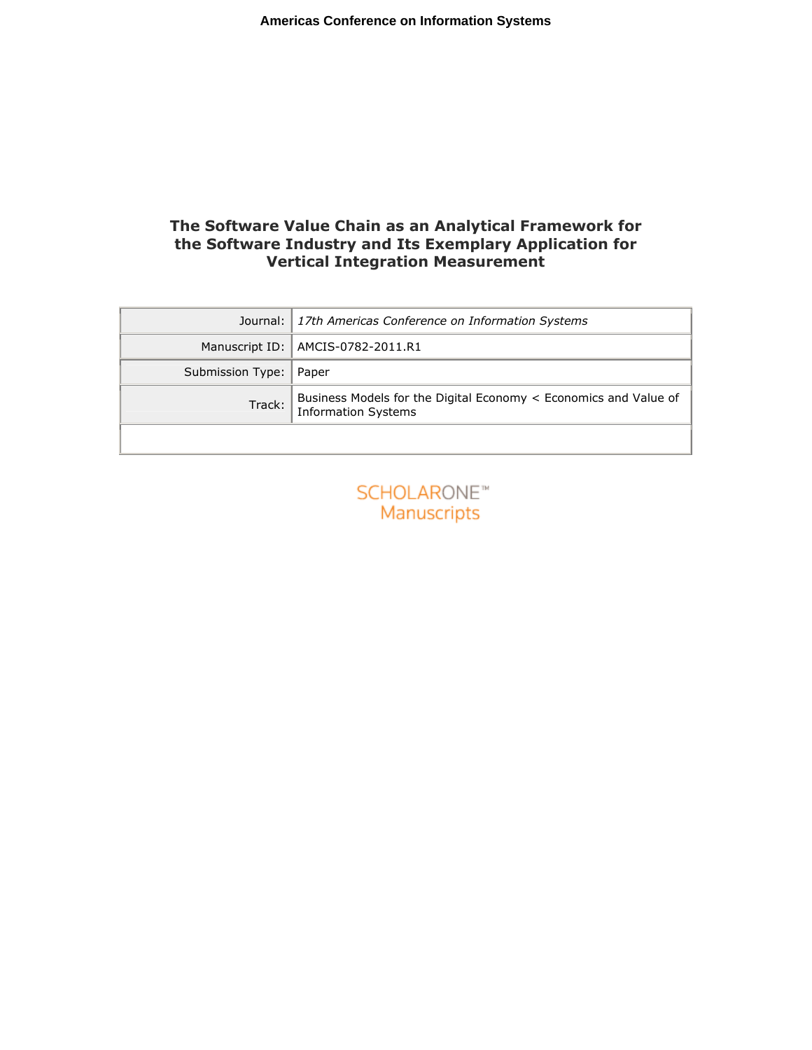## The Software Value Chain as an Analytical Framework for the Software Industry and Its Exemplary Application for Vertical Integration Measurement

|                  | Journal:   17th Americas Conference on Information Systems                           |
|------------------|--------------------------------------------------------------------------------------|
|                  | Manuscript ID:   AMCIS-0782-2011.R1                                                  |
| Submission Type: | Paper                                                                                |
| Track:           | Business Models for the Digital Economy < Economics and Value of Information Systems |
|                  |                                                                                      |

**SCHOLARONE™** Manuscripts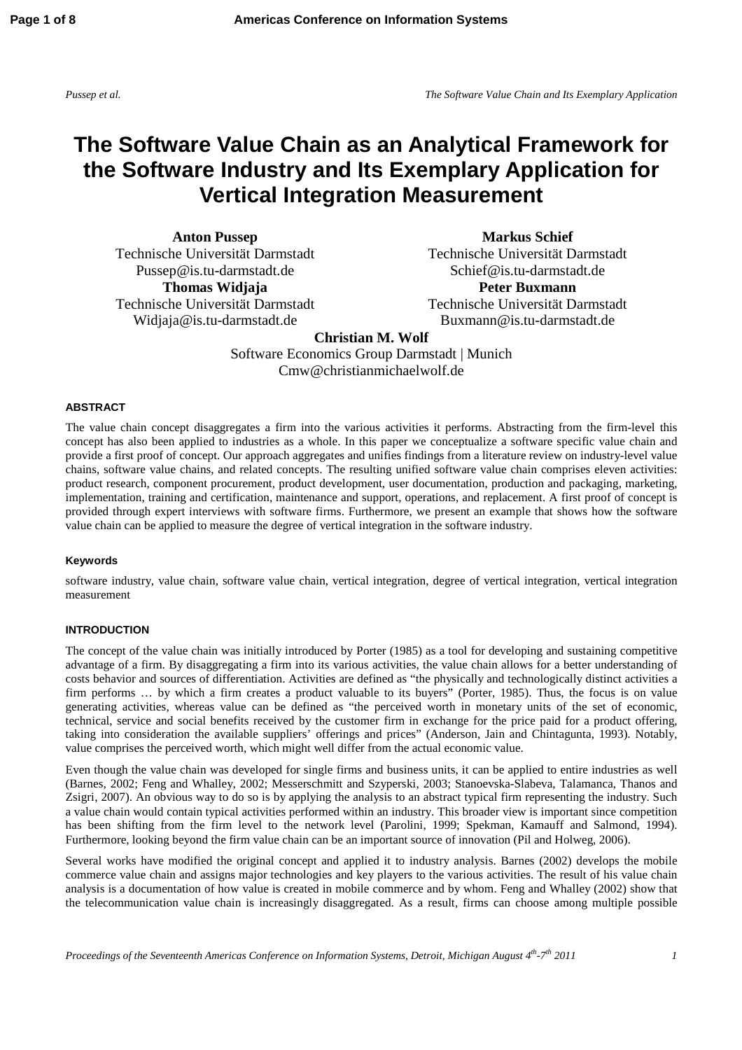# **The Software Value Chain as an Analytical Framework for the Software Industry and Its Exemplary Application for Vertical Integration Measurement**

**Anton Pussep**  Technische Universität Darmstadt Pussep@is.tu-darmstadt.de **Thomas Widjaja**  Technische Universität Darmstadt Widjaja@is.tu-darmstadt.de

**Markus Schief**  Technische Universität Darmstadt Schief@is.tu-darmstadt.de **Peter Buxmann**  Technische Universität Darmstadt Buxmann@is.tu-darmstadt.de

**Christian M. Wolf** 

Software Economics Group Darmstadt | Munich Cmw@christianmichaelwolf.de

#### **ABSTRACT**

The value chain concept disaggregates a firm into the various activities it performs. Abstracting from the firm-level this concept has also been applied to industries as a whole. In this paper we conceptualize a software specific value chain and provide a first proof of concept. Our approach aggregates and unifies findings from a literature review on industry-level value chains, software value chains, and related concepts. The resulting unified software value chain comprises eleven activities: product research, component procurement, product development, user documentation, production and packaging, marketing, implementation, training and certification, maintenance and support, operations, and replacement. A first proof of concept is provided through expert interviews with software firms. Furthermore, we present an example that shows how the software value chain can be applied to measure the degree of vertical integration in the software industry.

#### **Keywords**

software industry, value chain, software value chain, vertical integration, degree of vertical integration, vertical integration measurement

#### **INTRODUCTION**

The concept of the value chain was initially introduced by Porter (1985) as a tool for developing and sustaining competitive advantage of a firm. By disaggregating a firm into its various activities, the value chain allows for a better understanding of costs behavior and sources of differentiation. Activities are defined as "the physically and technologically distinct activities a firm performs … by which a firm creates a product valuable to its buyers" (Porter, 1985). Thus, the focus is on value generating activities, whereas value can be defined as "the perceived worth in monetary units of the set of economic, technical, service and social benefits received by the customer firm in exchange for the price paid for a product offering, taking into consideration the available suppliers' offerings and prices" (Anderson, Jain and Chintagunta, 1993). Notably, value comprises the perceived worth, which might well differ from the actual economic value.

Even though the value chain was developed for single firms and business units, it can be applied to entire industries as well (Barnes, 2002; Feng and Whalley, 2002; Messerschmitt and Szyperski, 2003; Stanoevska-Slabeva, Talamanca, Thanos and Zsigri, 2007). An obvious way to do so is by applying the analysis to an abstract typical firm representing the industry. Such a value chain would contain typical activities performed within an industry. This broader view is important since competition has been shifting from the firm level to the network level (Parolini, 1999; Spekman, Kamauff and Salmond, 1994). Furthermore, looking beyond the firm value chain can be an important source of innovation (Pil and Holweg, 2006).

Several works have modified the original concept and applied it to industry analysis. Barnes (2002) develops the mobile commerce value chain and assigns major technologies and key players to the various activities. The result of his value chain analysis is a documentation of how value is created in mobile commerce and by whom. Feng and Whalley (2002) show that the telecommunication value chain is increasingly disaggregated. As a result, firms can choose among multiple possible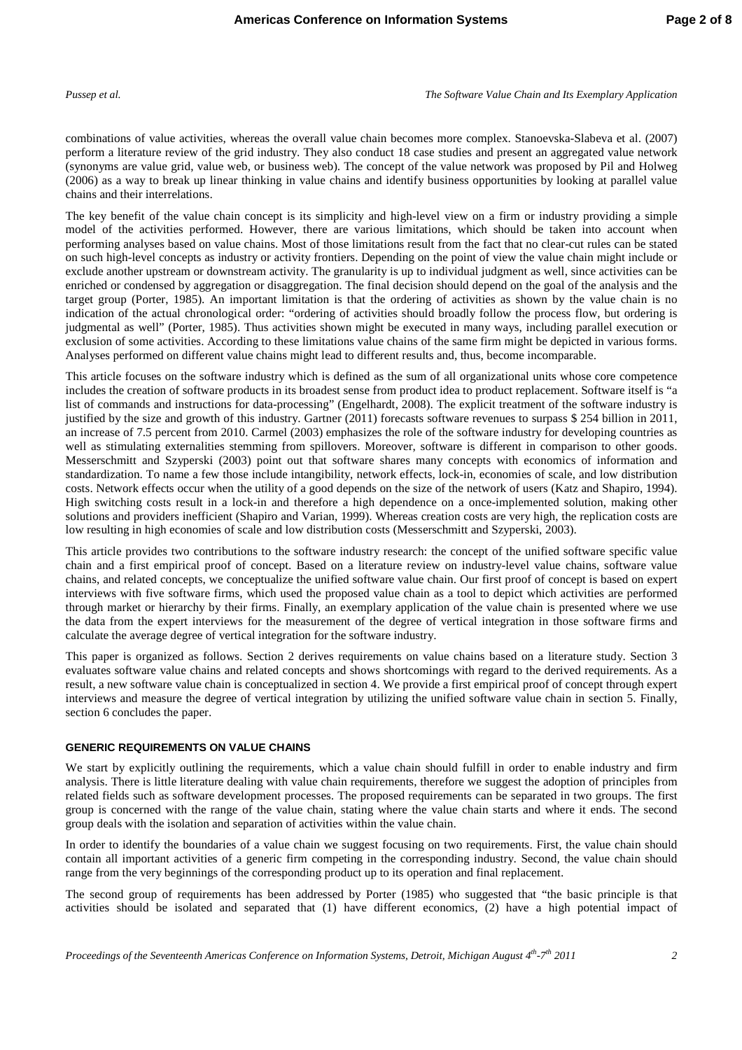combinations of value activities, whereas the overall value chain becomes more complex. Stanoevska-Slabeva et al. (2007) perform a literature review of the grid industry. They also conduct 18 case studies and present an aggregated value network (synonyms are value grid, value web, or business web). The concept of the value network was proposed by Pil and Holweg (2006) as a way to break up linear thinking in value chains and identify business opportunities by looking at parallel value chains and their interrelations.

The key benefit of the value chain concept is its simplicity and high-level view on a firm or industry providing a simple model of the activities performed. However, there are various limitations, which should be taken into account when performing analyses based on value chains. Most of those limitations result from the fact that no clear-cut rules can be stated on such high-level concepts as industry or activity frontiers. Depending on the point of view the value chain might include or exclude another upstream or downstream activity. The granularity is up to individual judgment as well, since activities can be enriched or condensed by aggregation or disaggregation. The final decision should depend on the goal of the analysis and the target group (Porter, 1985). An important limitation is that the ordering of activities as shown by the value chain is no indication of the actual chronological order: "ordering of activities should broadly follow the process flow, but ordering is judgmental as well" (Porter, 1985). Thus activities shown might be executed in many ways, including parallel execution or exclusion of some activities. According to these limitations value chains of the same firm might be depicted in various forms. Analyses performed on different value chains might lead to different results and, thus, become incomparable.

This article focuses on the software industry which is defined as the sum of all organizational units whose core competence includes the creation of software products in its broadest sense from product idea to product replacement. Software itself is "a list of commands and instructions for data-processing" (Engelhardt, 2008). The explicit treatment of the software industry is justified by the size and growth of this industry. Gartner (2011) forecasts software revenues to surpass \$ 254 billion in 2011, an increase of 7.5 percent from 2010. Carmel (2003) emphasizes the role of the software industry for developing countries as well as stimulating externalities stemming from spillovers. Moreover, software is different in comparison to other goods. Messerschmitt and Szyperski (2003) point out that software shares many concepts with economics of information and standardization. To name a few those include intangibility, network effects, lock-in, economies of scale, and low distribution costs. Network effects occur when the utility of a good depends on the size of the network of users (Katz and Shapiro, 1994). High switching costs result in a lock-in and therefore a high dependence on a once-implemented solution, making other solutions and providers inefficient (Shapiro and Varian, 1999). Whereas creation costs are very high, the replication costs are low resulting in high economies of scale and low distribution costs (Messerschmitt and Szyperski, 2003).

This article provides two contributions to the software industry research: the concept of the unified software specific value chain and a first empirical proof of concept. Based on a literature review on industry-level value chains, software value chains, and related concepts, we conceptualize the unified software value chain. Our first proof of concept is based on expert interviews with five software firms, which used the proposed value chain as a tool to depict which activities are performed through market or hierarchy by their firms. Finally, an exemplary application of the value chain is presented where we use the data from the expert interviews for the measurement of the degree of vertical integration in those software firms and calculate the average degree of vertical integration for the software industry.

This paper is organized as follows. Section 2 derives requirements on value chains based on a literature study. Section 3 evaluates software value chains and related concepts and shows shortcomings with regard to the derived requirements. As a result, a new software value chain is conceptualized in section 4. We provide a first empirical proof of concept through expert interviews and measure the degree of vertical integration by utilizing the unified software value chain in section 5. Finally, section 6 concludes the paper.

#### **GENERIC REQUIREMENTS ON VALUE CHAINS**

We start by explicitly outlining the requirements, which a value chain should fulfill in order to enable industry and firm analysis. There is little literature dealing with value chain requirements, therefore we suggest the adoption of principles from related fields such as software development processes. The proposed requirements can be separated in two groups. The first group is concerned with the range of the value chain, stating where the value chain starts and where it ends. The second group deals with the isolation and separation of activities within the value chain.

In order to identify the boundaries of a value chain we suggest focusing on two requirements. First, the value chain should contain all important activities of a generic firm competing in the corresponding industry. Second, the value chain should range from the very beginnings of the corresponding product up to its operation and final replacement.

The second group of requirements has been addressed by Porter (1985) who suggested that "the basic principle is that activities should be isolated and separated that (1) have different economics, (2) have a high potential impact of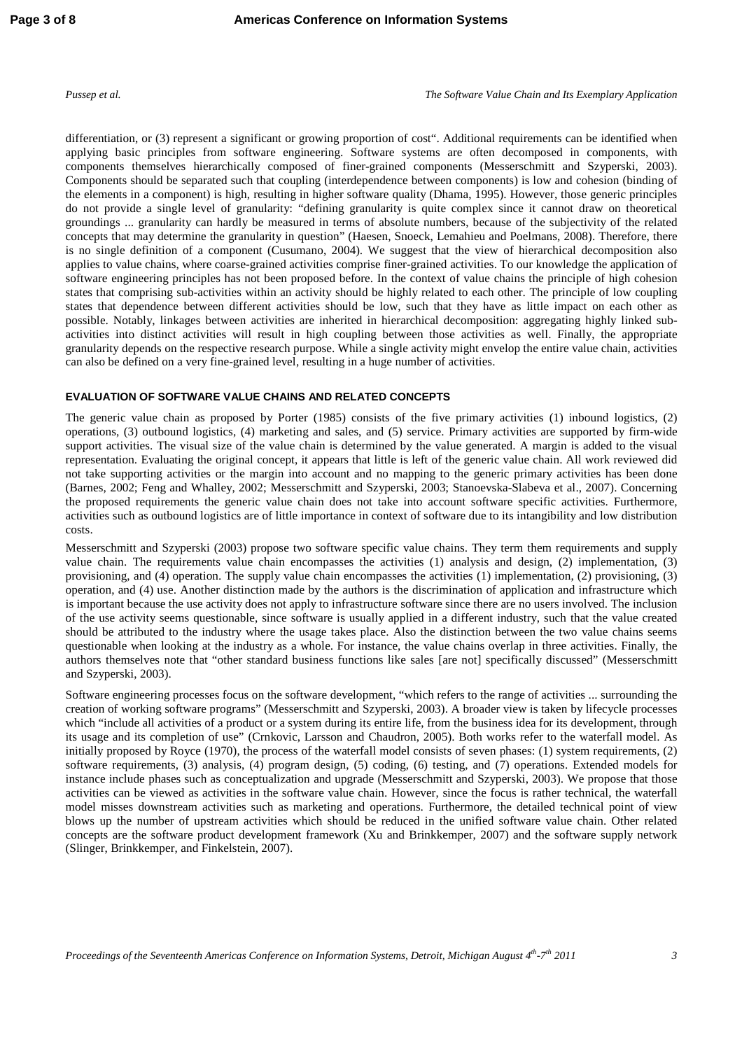differentiation, or (3) represent a significant or growing proportion of cost". Additional requirements can be identified when applying basic principles from software engineering. Software systems are often decomposed in components, with components themselves hierarchically composed of finer-grained components (Messerschmitt and Szyperski, 2003). Components should be separated such that coupling (interdependence between components) is low and cohesion (binding of the elements in a component) is high, resulting in higher software quality (Dhama, 1995). However, those generic principles do not provide a single level of granularity: "defining granularity is quite complex since it cannot draw on theoretical groundings ... granularity can hardly be measured in terms of absolute numbers, because of the subjectivity of the related concepts that may determine the granularity in question" (Haesen, Snoeck, Lemahieu and Poelmans, 2008). Therefore, there is no single definition of a component (Cusumano, 2004). We suggest that the view of hierarchical decomposition also applies to value chains, where coarse-grained activities comprise finer-grained activities. To our knowledge the application of software engineering principles has not been proposed before. In the context of value chains the principle of high cohesion states that comprising sub-activities within an activity should be highly related to each other. The principle of low coupling states that dependence between different activities should be low, such that they have as little impact on each other as possible. Notably, linkages between activities are inherited in hierarchical decomposition: aggregating highly linked subactivities into distinct activities will result in high coupling between those activities as well. Finally, the appropriate granularity depends on the respective research purpose. While a single activity might envelop the entire value chain, activities can also be defined on a very fine-grained level, resulting in a huge number of activities.

#### **EVALUATION OF SOFTWARE VALUE CHAINS AND RELATED CONCEPTS**

The generic value chain as proposed by Porter (1985) consists of the five primary activities (1) inbound logistics, (2) operations, (3) outbound logistics, (4) marketing and sales, and (5) service. Primary activities are supported by firm-wide support activities. The visual size of the value chain is determined by the value generated. A margin is added to the visual representation. Evaluating the original concept, it appears that little is left of the generic value chain. All work reviewed did not take supporting activities or the margin into account and no mapping to the generic primary activities has been done (Barnes, 2002; Feng and Whalley, 2002; Messerschmitt and Szyperski, 2003; Stanoevska-Slabeva et al., 2007). Concerning the proposed requirements the generic value chain does not take into account software specific activities. Furthermore, activities such as outbound logistics are of little importance in context of software due to its intangibility and low distribution costs.

Messerschmitt and Szyperski (2003) propose two software specific value chains. They term them requirements and supply value chain. The requirements value chain encompasses the activities (1) analysis and design, (2) implementation, (3) provisioning, and (4) operation. The supply value chain encompasses the activities (1) implementation, (2) provisioning, (3) operation, and (4) use. Another distinction made by the authors is the discrimination of application and infrastructure which is important because the use activity does not apply to infrastructure software since there are no users involved. The inclusion of the use activity seems questionable, since software is usually applied in a different industry, such that the value created should be attributed to the industry where the usage takes place. Also the distinction between the two value chains seems questionable when looking at the industry as a whole. For instance, the value chains overlap in three activities. Finally, the authors themselves note that "other standard business functions like sales [are not] specifically discussed" (Messerschmitt and Szyperski, 2003).

Software engineering processes focus on the software development, "which refers to the range of activities ... surrounding the creation of working software programs" (Messerschmitt and Szyperski, 2003). A broader view is taken by lifecycle processes which "include all activities of a product or a system during its entire life, from the business idea for its development, through its usage and its completion of use" (Crnkovic, Larsson and Chaudron, 2005). Both works refer to the waterfall model. As initially proposed by Royce (1970), the process of the waterfall model consists of seven phases: (1) system requirements, (2) software requirements, (3) analysis, (4) program design, (5) coding, (6) testing, and (7) operations. Extended models for instance include phases such as conceptualization and upgrade (Messerschmitt and Szyperski, 2003). We propose that those activities can be viewed as activities in the software value chain. However, since the focus is rather technical, the waterfall model misses downstream activities such as marketing and operations. Furthermore, the detailed technical point of view blows up the number of upstream activities which should be reduced in the unified software value chain. Other related concepts are the software product development framework (Xu and Brinkkemper, 2007) and the software supply network (Slinger, Brinkkemper, and Finkelstein, 2007).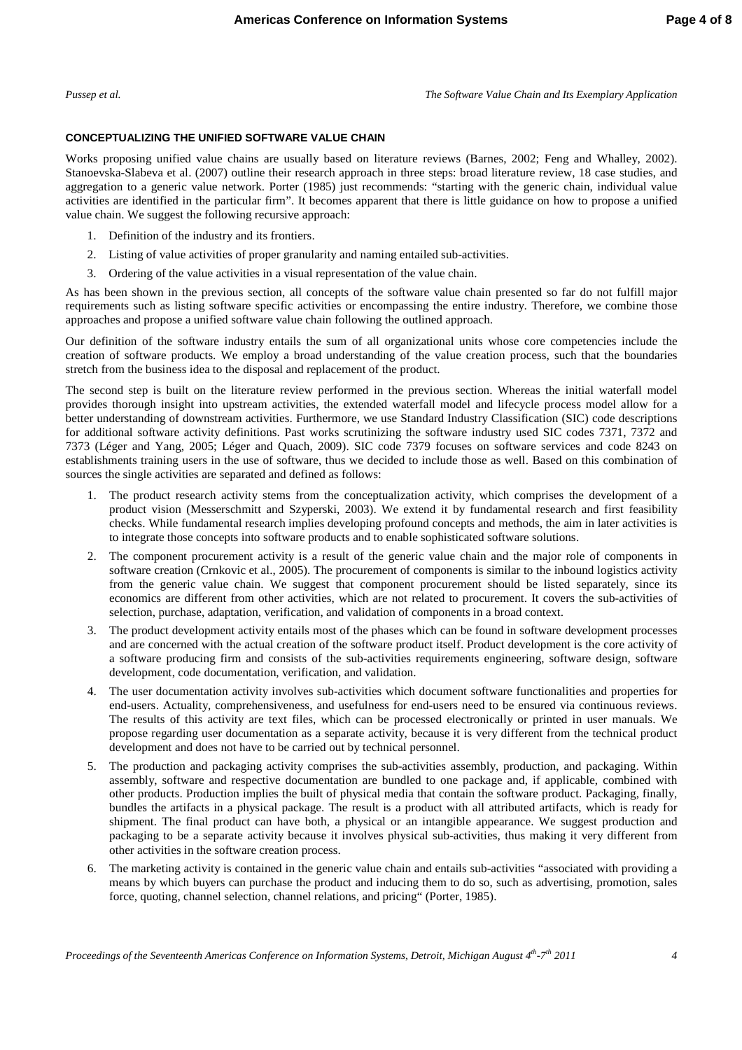#### **CONCEPTUALIZING THE UNIFIED SOFTWARE VALUE CHAIN**

Works proposing unified value chains are usually based on literature reviews (Barnes, 2002; Feng and Whalley, 2002). Stanoevska-Slabeva et al. (2007) outline their research approach in three steps: broad literature review, 18 case studies, and aggregation to a generic value network. Porter (1985) just recommends: "starting with the generic chain, individual value activities are identified in the particular firm". It becomes apparent that there is little guidance on how to propose a unified value chain. We suggest the following recursive approach:

- 1. Definition of the industry and its frontiers.
- 2. Listing of value activities of proper granularity and naming entailed sub-activities.
- 3. Ordering of the value activities in a visual representation of the value chain.

As has been shown in the previous section, all concepts of the software value chain presented so far do not fulfill major requirements such as listing software specific activities or encompassing the entire industry. Therefore, we combine those approaches and propose a unified software value chain following the outlined approach.

Our definition of the software industry entails the sum of all organizational units whose core competencies include the creation of software products. We employ a broad understanding of the value creation process, such that the boundaries stretch from the business idea to the disposal and replacement of the product.

The second step is built on the literature review performed in the previous section. Whereas the initial waterfall model provides thorough insight into upstream activities, the extended waterfall model and lifecycle process model allow for a better understanding of downstream activities. Furthermore, we use Standard Industry Classification (SIC) code descriptions for additional software activity definitions. Past works scrutinizing the software industry used SIC codes 7371, 7372 and 7373 (Léger and Yang, 2005; Léger and Quach, 2009). SIC code 7379 focuses on software services and code 8243 on establishments training users in the use of software, thus we decided to include those as well. Based on this combination of sources the single activities are separated and defined as follows:

- 1. The product research activity stems from the conceptualization activity, which comprises the development of a product vision (Messerschmitt and Szyperski, 2003). We extend it by fundamental research and first feasibility checks. While fundamental research implies developing profound concepts and methods, the aim in later activities is to integrate those concepts into software products and to enable sophisticated software solutions.
- 2. The component procurement activity is a result of the generic value chain and the major role of components in software creation (Crnkovic et al., 2005). The procurement of components is similar to the inbound logistics activity from the generic value chain. We suggest that component procurement should be listed separately, since its economics are different from other activities, which are not related to procurement. It covers the sub-activities of selection, purchase, adaptation, verification, and validation of components in a broad context.
- 3. The product development activity entails most of the phases which can be found in software development processes and are concerned with the actual creation of the software product itself. Product development is the core activity of a software producing firm and consists of the sub-activities requirements engineering, software design, software development, code documentation, verification, and validation.
- 4. The user documentation activity involves sub-activities which document software functionalities and properties for end-users. Actuality, comprehensiveness, and usefulness for end-users need to be ensured via continuous reviews. The results of this activity are text files, which can be processed electronically or printed in user manuals. We propose regarding user documentation as a separate activity, because it is very different from the technical product development and does not have to be carried out by technical personnel.
- 5. The production and packaging activity comprises the sub-activities assembly, production, and packaging. Within assembly, software and respective documentation are bundled to one package and, if applicable, combined with other products. Production implies the built of physical media that contain the software product. Packaging, finally, bundles the artifacts in a physical package. The result is a product with all attributed artifacts, which is ready for shipment. The final product can have both, a physical or an intangible appearance. We suggest production and packaging to be a separate activity because it involves physical sub-activities, thus making it very different from other activities in the software creation process.
- 6. The marketing activity is contained in the generic value chain and entails sub-activities "associated with providing a means by which buyers can purchase the product and inducing them to do so, such as advertising, promotion, sales force, quoting, channel selection, channel relations, and pricing" (Porter, 1985).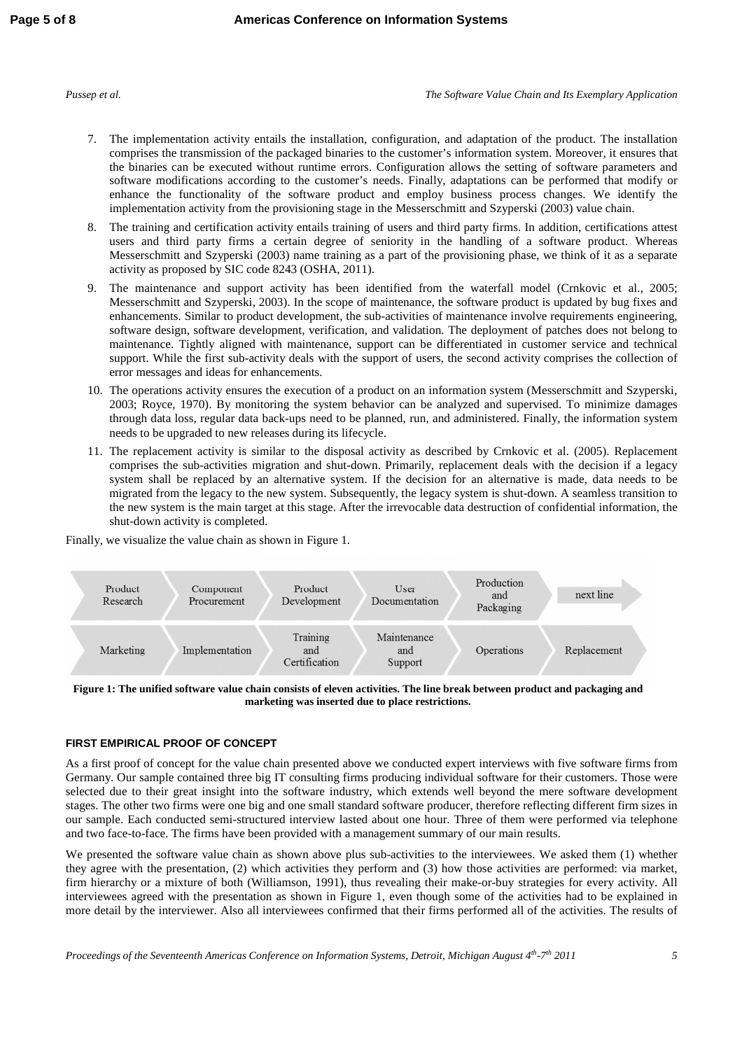- 7. The implementation activity entails the installation, configuration, and adaptation of the product. The installation comprises the transmission of the packaged binaries to the customer's information system. Moreover, it ensures that the binaries can be executed without runtime errors. Configuration allows the setting of software parameters and software modifications according to the customer's needs. Finally, adaptations can be performed that modify or enhance the functionality of the software product and employ business process changes. We identify the implementation activity from the provisioning stage in the Messerschmitt and Szyperski (2003) value chain.
- 8. The training and certification activity entails training of users and third party firms. In addition, certifications attest users and third party firms a certain degree of seniority in the handling of a software product. Whereas Messerschmitt and Szyperski (2003) name training as a part of the provisioning phase, we think of it as a separate activity as proposed by SIC code 8243 (OSHA, 2011).
- 9. The maintenance and support activity has been identified from the waterfall model (Crnkovic et al., 2005; Messerschmitt and Szyperski, 2003). In the scope of maintenance, the software product is updated by bug fixes and enhancements. Similar to product development, the sub-activities of maintenance involve requirements engineering, software design, software development, verification, and validation. The deployment of patches does not belong to maintenance. Tightly aligned with maintenance, support can be differentiated in customer service and technical support. While the first sub-activity deals with the support of users, the second activity comprises the collection of error messages and ideas for enhancements.
- 10. The operations activity ensures the execution of a product on an information system (Messerschmitt and Szyperski, 2003; Royce, 1970). By monitoring the system behavior can be analyzed and supervised. To minimize damages through data loss, regular data back-ups need to be planned, run, and administered. Finally, the information system needs to be upgraded to new releases during its lifecycle.
- 11. The replacement activity is similar to the disposal activity as described by Crnkovic et al. (2005). Replacement comprises the sub-activities migration and shut-down. Primarily, replacement deals with the decision if a legacy system shall be replaced by an alternative system. If the decision for an alternative is made, data needs to be migrated from the legacy to the new system. Subsequently, the legacy system is shut-down. A seamless transition to the new system is the main target at this stage. After the irrevocable data destruction of confidential information, the shut-down activity is completed.

Finally, we visualize the value chain as shown in Figure 1.



**Figure 1: The unified software value chain consists of eleven activities. The line break between product and packaging and marketing was inserted due to place restrictions.** 

### **FIRST EMPIRICAL PROOF OF CONCEPT**

As a first proof of concept for the value chain presented above we conducted expert interviews with five software firms from Germany. Our sample contained three big IT consulting firms producing individual software for their customers. Those were selected due to their great insight into the software industry, which extends well beyond the mere software development stages. The other two firms were one big and one small standard software producer, therefore reflecting different firm sizes in our sample. Each conducted semi-structured interview lasted about one hour. Three of them were performed via telephone and two face-to-face. The firms have been provided with a management summary of our main results.

We presented the software value chain as shown above plus sub-activities to the interviewees. We asked them (1) whether they agree with the presentation, (2) which activities they perform and (3) how those activities are performed: via market, firm hierarchy or a mixture of both (Williamson, 1991), thus revealing their make-or-buy strategies for every activity. All interviewees agreed with the presentation as shown in Figure 1, even though some of the activities had to be explained in more detail by the interviewer. Also all interviewees confirmed that their firms performed all of the activities. The results of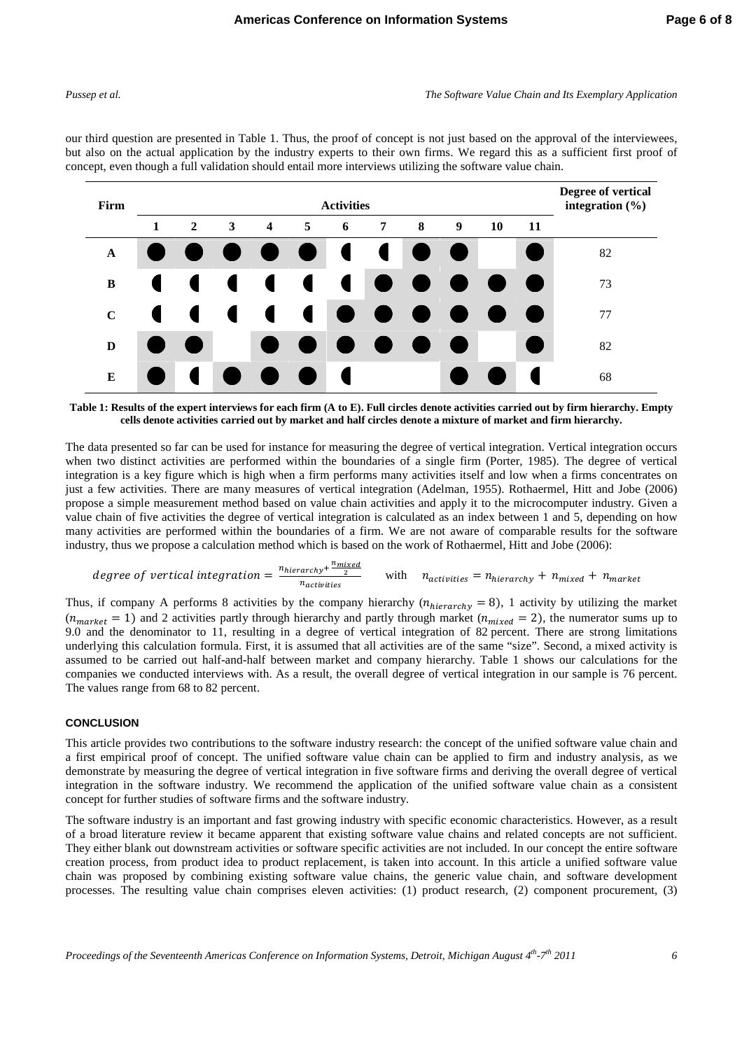

our third question are presented in Table 1. Thus, the proof of concept is not just based on the approval of the interviewees, but also on the actual application by the industry experts to their own firms. We regard this as a sufficient first proof of concept, even though a full validation should entail more interviews utilizing the software value chain.

**Table 1: Results of the expert interviews for each firm (A to E). Full circles denote activities carried out by firm hierarchy. Empty cells denote activities carried out by market and half circles denote a mixture of market and firm hierarchy.** 

The data presented so far can be used for instance for measuring the degree of vertical integration. Vertical integration occurs when two distinct activities are performed within the boundaries of a single firm (Porter, 1985). The degree of vertical integration is a key figure which is high when a firm performs many activities itself and low when a firms concentrates on just a few activities. There are many measures of vertical integration (Adelman, 1955). Rothaermel, Hitt and Jobe (2006) propose a simple measurement method based on value chain activities and apply it to the microcomputer industry. Given a value chain of five activities the degree of vertical integration is calculated as an index between 1 and 5, depending on how many activities are performed within the boundaries of a firm. We are not aware of comparable results for the software industry, thus we propose a calculation method which is based on the work of Rothaermel, Hitt and Jobe (2006):

$$
degree of vertical integration = \frac{n_{hierarchy} + \frac{n_{mixed}}{2}}{n_{activities}} \quad \text{with} \quad n_{activities} = n_{hierarchy} + n_{mixed} + n_{market}
$$

Thus, if company A performs 8 activities by the company hierarchy  $(n_{hierarchy} = 8)$ , 1 activity by utilizing the market  $(n_{market} = 1)$  and 2 activities partly through hierarchy and partly through market  $(n_{mixed} = 2)$ , the numerator sums up to 9.0 and the denominator to 11, resulting in a degree of vertical integration of 82 percent. There are strong limitations underlying this calculation formula. First, it is assumed that all activities are of the same "size". Second, a mixed activity is assumed to be carried out half-and-half between market and company hierarchy. Table 1 shows our calculations for the companies we conducted interviews with. As a result, the overall degree of vertical integration in our sample is 76 percent. The values range from 68 to 82 percent.

#### **CONCLUSION**

This article provides two contributions to the software industry research: the concept of the unified software value chain and a first empirical proof of concept. The unified software value chain can be applied to firm and industry analysis, as we demonstrate by measuring the degree of vertical integration in five software firms and deriving the overall degree of vertical integration in the software industry. We recommend the application of the unified software value chain as a consistent concept for further studies of software firms and the software industry.

The software industry is an important and fast growing industry with specific economic characteristics. However, as a result of a broad literature review it became apparent that existing software value chains and related concepts are not sufficient. They either blank out downstream activities or software specific activities are not included. In our concept the entire software creation process, from product idea to product replacement, is taken into account. In this article a unified software value chain was proposed by combining existing software value chains, the generic value chain, and software development processes. The resulting value chain comprises eleven activities: (1) product research, (2) component procurement, (3)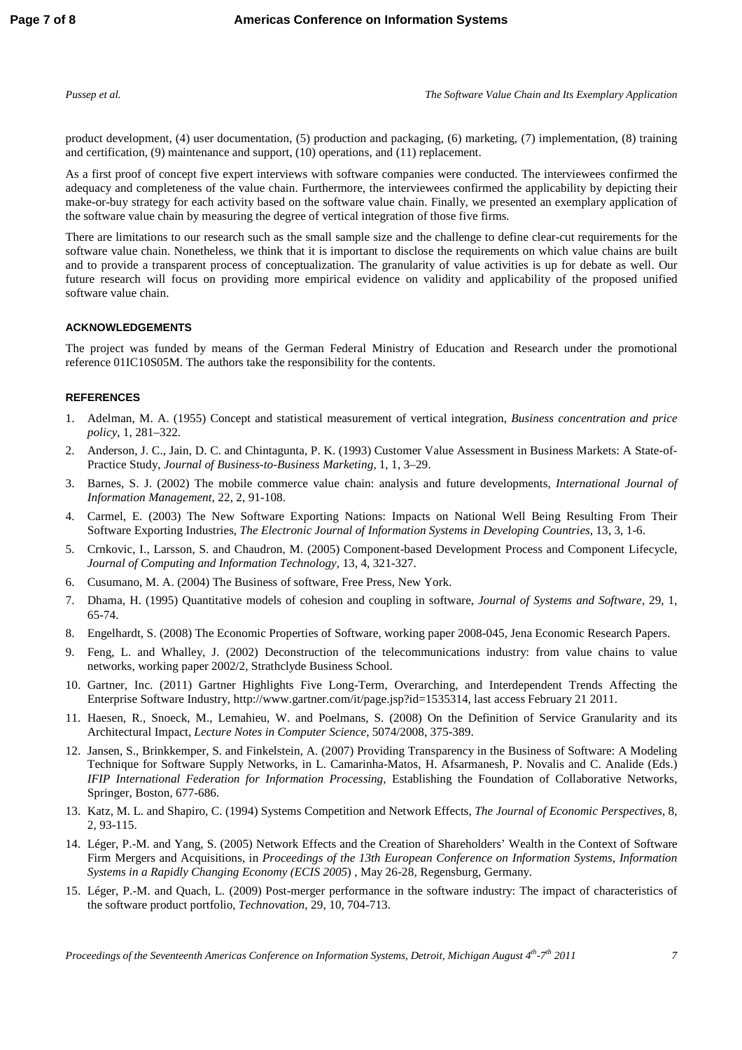product development, (4) user documentation, (5) production and packaging, (6) marketing, (7) implementation, (8) training and certification, (9) maintenance and support, (10) operations, and (11) replacement.

As a first proof of concept five expert interviews with software companies were conducted. The interviewees confirmed the adequacy and completeness of the value chain. Furthermore, the interviewees confirmed the applicability by depicting their make-or-buy strategy for each activity based on the software value chain. Finally, we presented an exemplary application of the software value chain by measuring the degree of vertical integration of those five firms.

There are limitations to our research such as the small sample size and the challenge to define clear-cut requirements for the software value chain. Nonetheless, we think that it is important to disclose the requirements on which value chains are built and to provide a transparent process of conceptualization. The granularity of value activities is up for debate as well. Our future research will focus on providing more empirical evidence on validity and applicability of the proposed unified software value chain.

#### **ACKNOWLEDGEMENTS**

The project was funded by means of the German Federal Ministry of Education and Research under the promotional reference 01IC10S05M. The authors take the responsibility for the contents.

#### **REFERENCES**

- 1. Adelman, M. A. (1955) Concept and statistical measurement of vertical integration, *Business concentration and price policy*, 1, 281–322.
- 2. Anderson, J. C., Jain, D. C. and Chintagunta, P. K. (1993) Customer Value Assessment in Business Markets: A State-of-Practice Study, *Journal of Business-to-Business Marketing*, 1, 1, 3–29.
- 3. Barnes, S. J. (2002) The mobile commerce value chain: analysis and future developments, *International Journal of Information Management*, 22, 2, 91-108.
- 4. Carmel, E. (2003) The New Software Exporting Nations: Impacts on National Well Being Resulting From Their Software Exporting Industries, *The Electronic Journal of Information Systems in Developing Countries*, 13, 3, 1-6.
- 5. Crnkovic, I., Larsson, S. and Chaudron, M. (2005) Component-based Development Process and Component Lifecycle, *Journal of Computing and Information Technology*, 13, 4, 321-327.
- 6. Cusumano, M. A. (2004) The Business of software, Free Press, New York.
- 7. Dhama, H. (1995) Quantitative models of cohesion and coupling in software, *Journal of Systems and Software*, 29, 1, 65-74.
- 8. Engelhardt, S. (2008) The Economic Properties of Software, working paper 2008-045, Jena Economic Research Papers.
- 9. Feng, L. and Whalley, J. (2002) Deconstruction of the telecommunications industry: from value chains to value networks, working paper 2002/2, Strathclyde Business School.
- 10. Gartner, Inc. (2011) Gartner Highlights Five Long-Term, Overarching, and Interdependent Trends Affecting the Enterprise Software Industry, http://www.gartner.com/it/page.jsp?id=1535314, last access February 21 2011.
- 11. Haesen, R., Snoeck, M., Lemahieu, W. and Poelmans, S. (2008) On the Definition of Service Granularity and its Architectural Impact, *Lecture Notes in Computer Science*, 5074/2008, 375-389.
- 12. Jansen, S., Brinkkemper, S. and Finkelstein, A. (2007) Providing Transparency in the Business of Software: A Modeling Technique for Software Supply Networks, in L. Camarinha-Matos, H. Afsarmanesh, P. Novalis and C. Analide (Eds.) *IFIP International Federation for Information Processing*, Establishing the Foundation of Collaborative Networks, Springer, Boston, 677-686.
- 13. Katz, M. L. and Shapiro, C. (1994) Systems Competition and Network Effects, *The Journal of Economic Perspectives*, 8, 2, 93-115.
- 14. Léger, P.-M. and Yang, S. (2005) Network Effects and the Creation of Shareholders' Wealth in the Context of Software Firm Mergers and Acquisitions, in *Proceedings of the 13th European Conference on Information Systems, Information Systems in a Rapidly Changing Economy (ECIS 2005*) , May 26-28, Regensburg, Germany.
- 15. Léger, P.-M. and Quach, L. (2009) Post-merger performance in the software industry: The impact of characteristics of the software product portfolio, *Technovation*, 29, 10, 704-713.